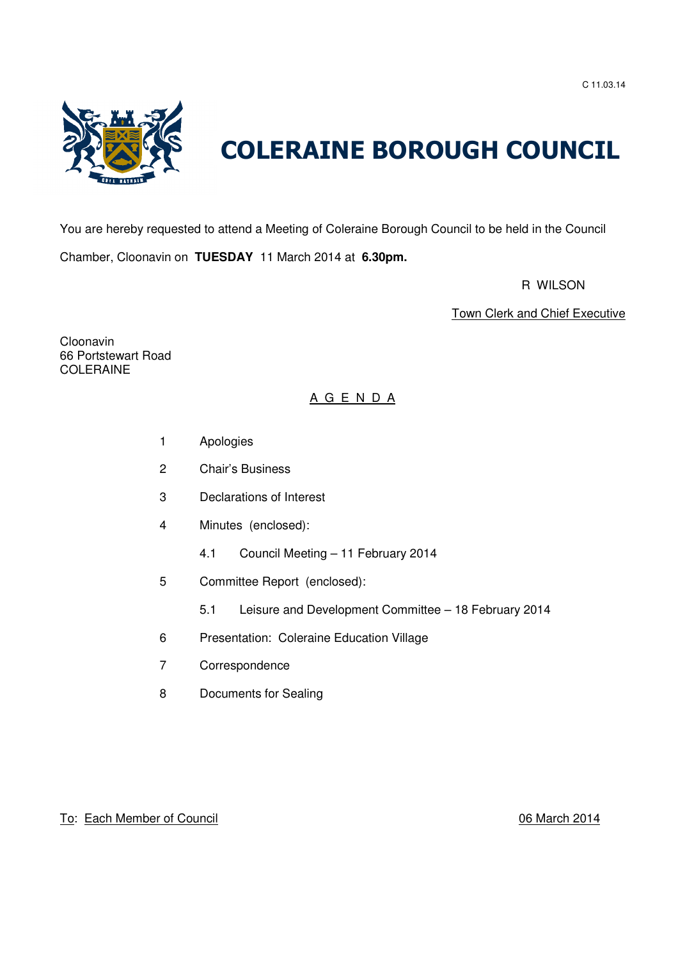C 11.03.14



# COLERAINE BOROUGH COUNCIL

You are hereby requested to attend a Meeting of Coleraine Borough Council to be held in the Council Chamber, Cloonavin on **TUESDAY** 11 March 2014 at **6.30pm.**

R WILSON

Town Clerk and Chief Executive

Cloonavin 66 Portstewart Road COLERAINE

# A G E N D A

- 1 Apologies
- 2 Chair's Business
- 3 Declarations of Interest
- 4 Minutes (enclosed):
	- 4.1 Council Meeting 11 February 2014
- 5 Committee Report (enclosed):
	- 5.1 Leisure and Development Committee 18 February 2014
- 6 Presentation: Coleraine Education Village
- 7 Correspondence
- 8 Documents for Sealing

# To: Each Member of Council **1996** Council 2014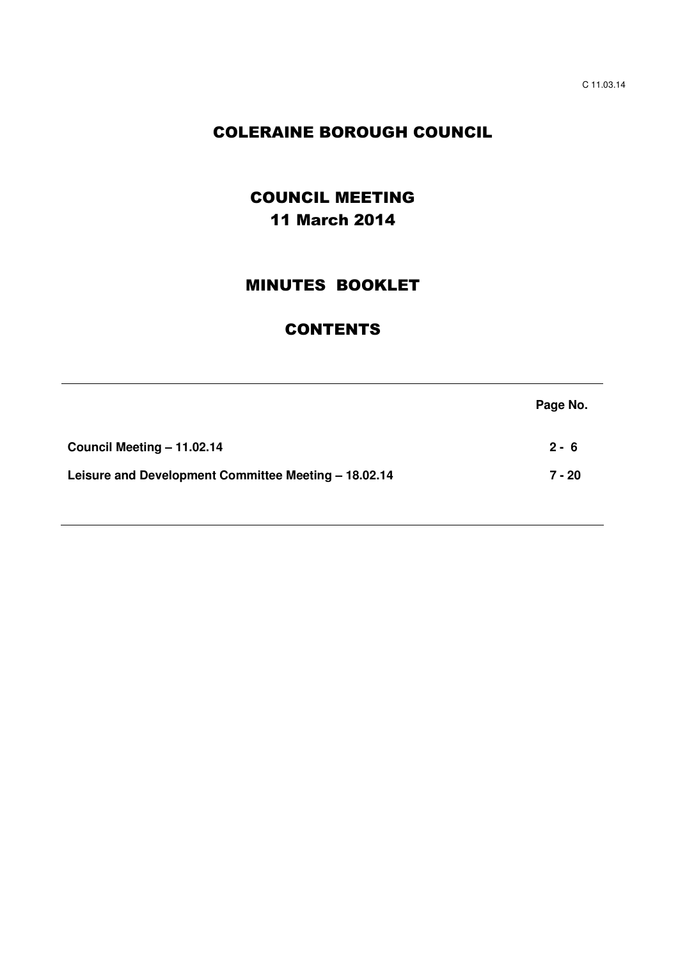# COLERAINE BOROUGH COUNCIL

# COUNCIL MEETING 11 March 2014

# MINUTES BOOKLET

# **CONTENTS**

|                                                      | Page No. |
|------------------------------------------------------|----------|
| Council Meeting - 11.02.14                           | $2 - 6$  |
| Leisure and Development Committee Meeting - 18.02.14 | $7 - 20$ |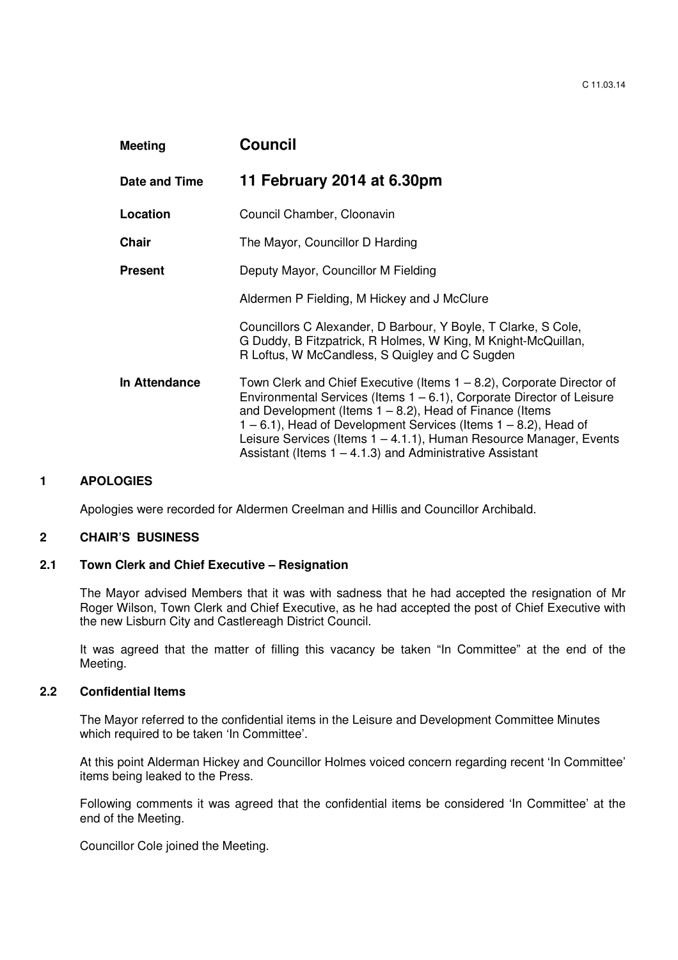| <b>Meeting</b> | <b>Council</b>                                                                                                                                                                                                                                                                                                                                                                                                                   |
|----------------|----------------------------------------------------------------------------------------------------------------------------------------------------------------------------------------------------------------------------------------------------------------------------------------------------------------------------------------------------------------------------------------------------------------------------------|
| Date and Time  | 11 February 2014 at 6.30pm                                                                                                                                                                                                                                                                                                                                                                                                       |
| Location       | Council Chamber, Cloonavin                                                                                                                                                                                                                                                                                                                                                                                                       |
| <b>Chair</b>   | The Mayor, Councillor D Harding                                                                                                                                                                                                                                                                                                                                                                                                  |
| <b>Present</b> | Deputy Mayor, Councillor M Fielding                                                                                                                                                                                                                                                                                                                                                                                              |
|                | Aldermen P Fielding, M Hickey and J McClure                                                                                                                                                                                                                                                                                                                                                                                      |
|                | Councillors C Alexander, D Barbour, Y Boyle, T Clarke, S Cole,<br>G Duddy, B Fitzpatrick, R Holmes, W King, M Knight-McQuillan,<br>R Loftus, W McCandless, S Quigley and C Sugden                                                                                                                                                                                                                                                |
| In Attendance  | Town Clerk and Chief Executive (Items $1 - 8.2$ ), Corporate Director of<br>Environmental Services (Items $1 - 6.1$ ), Corporate Director of Leisure<br>and Development (Items $1 - 8.2$ ), Head of Finance (Items<br>$1 - 6.1$ ), Head of Development Services (Items $1 - 8.2$ ), Head of<br>Leisure Services (Items 1 – 4.1.1), Human Resource Manager, Events<br>Assistant (Items $1 - 4.1.3$ ) and Administrative Assistant |

## **1 APOLOGIES**

Apologies were recorded for Aldermen Creelman and Hillis and Councillor Archibald.

## **2 CHAIR'S BUSINESS**

#### **2.1 Town Clerk and Chief Executive – Resignation**

The Mayor advised Members that it was with sadness that he had accepted the resignation of Mr Roger Wilson, Town Clerk and Chief Executive, as he had accepted the post of Chief Executive with the new Lisburn City and Castlereagh District Council.

It was agreed that the matter of filling this vacancy be taken "In Committee" at the end of the Meeting.

#### **2.2 Confidential Items**

The Mayor referred to the confidential items in the Leisure and Development Committee Minutes which required to be taken 'In Committee'.

At this point Alderman Hickey and Councillor Holmes voiced concern regarding recent 'In Committee' items being leaked to the Press.

Following comments it was agreed that the confidential items be considered 'In Committee' at the end of the Meeting.

Councillor Cole joined the Meeting.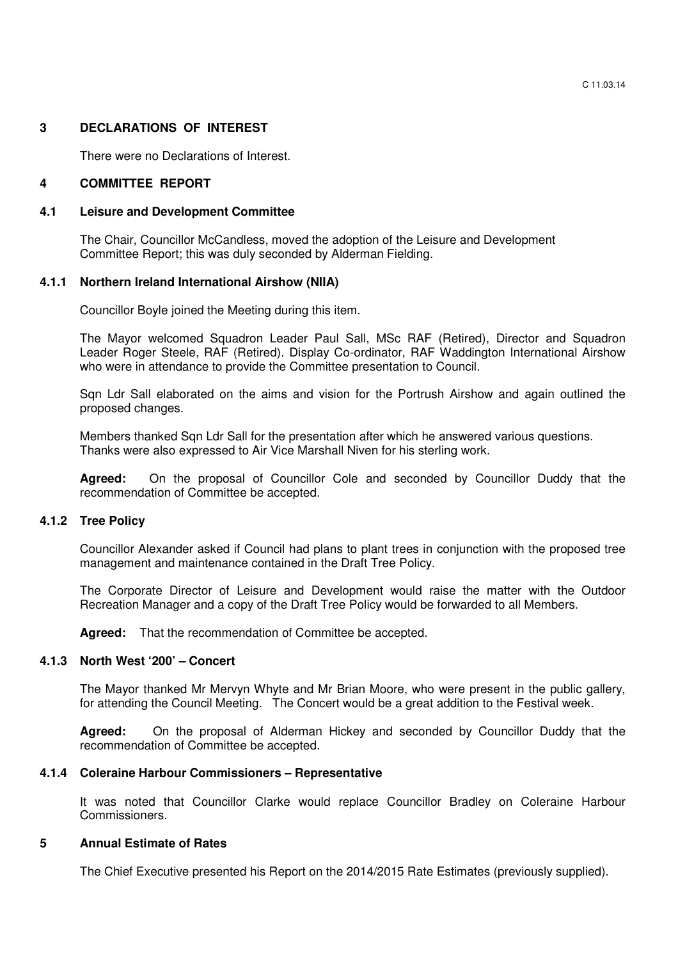#### **3 DECLARATIONS OF INTEREST**

There were no Declarations of Interest.

#### **4 COMMITTEE REPORT**

#### **4.1 Leisure and Development Committee**

The Chair, Councillor McCandless, moved the adoption of the Leisure and Development Committee Report; this was duly seconded by Alderman Fielding.

#### **4.1.1 Northern Ireland International Airshow (NIIA)**

Councillor Boyle joined the Meeting during this item.

The Mayor welcomed Squadron Leader Paul Sall, MSc RAF (Retired), Director and Squadron Leader Roger Steele, RAF (Retired). Display Co-ordinator, RAF Waddington International Airshow who were in attendance to provide the Committee presentation to Council.

San Ldr Sall elaborated on the aims and vision for the Portrush Airshow and again outlined the proposed changes.

 Members thanked Sqn Ldr Sall for the presentation after which he answered various questions. Thanks were also expressed to Air Vice Marshall Niven for his sterling work.

**Agreed:** On the proposal of Councillor Cole and seconded by Councillor Duddy that the recommendation of Committee be accepted.

#### **4.1.2 Tree Policy**

Councillor Alexander asked if Council had plans to plant trees in conjunction with the proposed tree management and maintenance contained in the Draft Tree Policy.

 The Corporate Director of Leisure and Development would raise the matter with the Outdoor Recreation Manager and a copy of the Draft Tree Policy would be forwarded to all Members.

Agreed: That the recommendation of Committee be accepted.

#### **4.1.3 North West '200' – Concert**

The Mayor thanked Mr Mervyn Whyte and Mr Brian Moore, who were present in the public gallery, for attending the Council Meeting. The Concert would be a great addition to the Festival week.

**Agreed:** On the proposal of Alderman Hickey and seconded by Councillor Duddy that the recommendation of Committee be accepted.

#### **4.1.4 Coleraine Harbour Commissioners – Representative**

 It was noted that Councillor Clarke would replace Councillor Bradley on Coleraine Harbour Commissioners.

#### **5 Annual Estimate of Rates**

The Chief Executive presented his Report on the 2014/2015 Rate Estimates (previously supplied).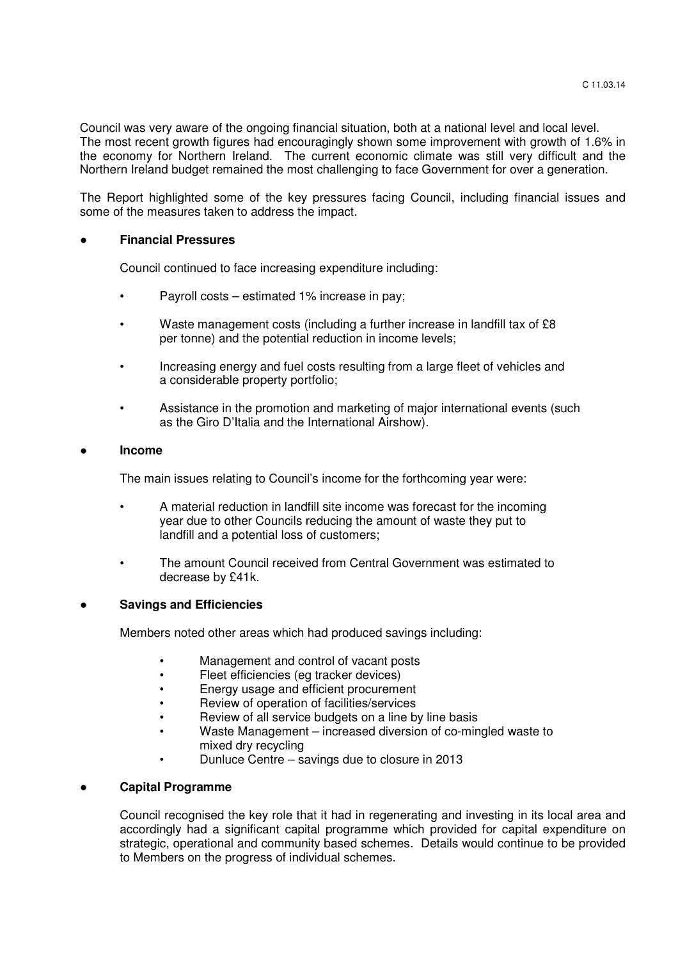Council was very aware of the ongoing financial situation, both at a national level and local level. The most recent growth figures had encouragingly shown some improvement with growth of 1.6% in the economy for Northern Ireland. The current economic climate was still very difficult and the Northern Ireland budget remained the most challenging to face Government for over a generation.

 The Report highlighted some of the key pressures facing Council, including financial issues and some of the measures taken to address the impact.

#### **Financial Pressures**

Council continued to face increasing expenditure including:

- Payroll costs estimated 1% increase in pay;
- Waste management costs (including a further increase in landfill tax of £8 per tonne) and the potential reduction in income levels;
- Increasing energy and fuel costs resulting from a large fleet of vehicles and a considerable property portfolio;
- Assistance in the promotion and marketing of major international events (such as the Giro D'Italia and the International Airshow).

#### ● **Income**

The main issues relating to Council's income for the forthcoming year were:

- A material reduction in landfill site income was forecast for the incoming year due to other Councils reducing the amount of waste they put to landfill and a potential loss of customers;
- The amount Council received from Central Government was estimated to decrease by £41k.

#### **Savings and Efficiencies**

Members noted other areas which had produced savings including:

- Management and control of vacant posts
- Fleet efficiencies (eg tracker devices)
- Energy usage and efficient procurement
- Review of operation of facilities/services
- Review of all service budgets on a line by line basis
- Waste Management increased diversion of co-mingled waste to mixed dry recycling
- Dunluce Centre savings due to closure in 2013

#### ● **Capital Programme**

Council recognised the key role that it had in regenerating and investing in its local area and accordingly had a significant capital programme which provided for capital expenditure on strategic, operational and community based schemes. Details would continue to be provided to Members on the progress of individual schemes.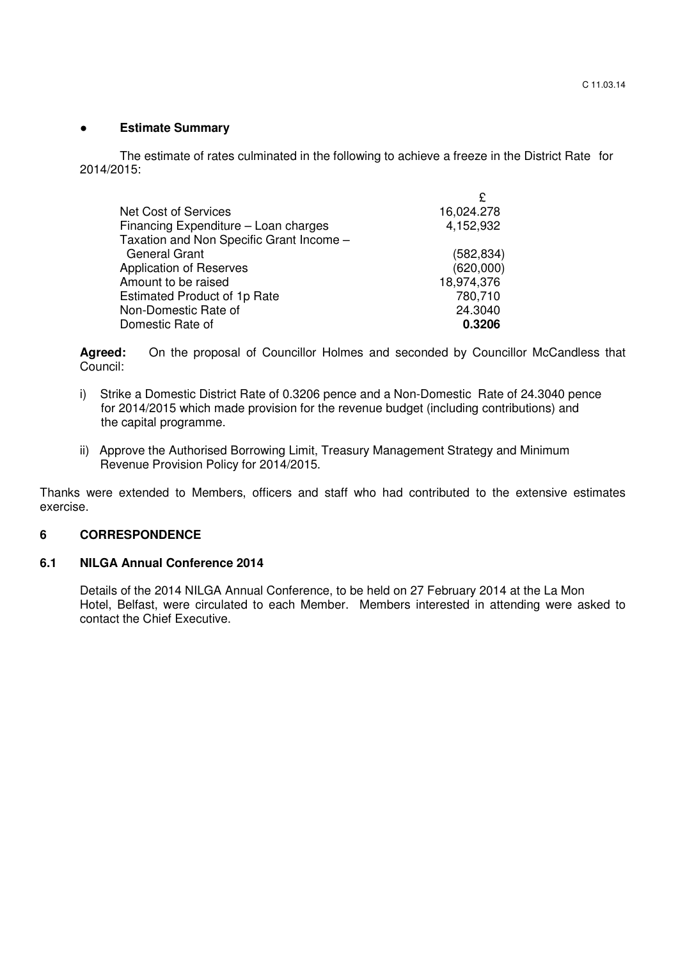### ● **Estimate Summary**

The estimate of rates culminated in the following to achieve a freeze in the District Rate for 2014/2015:

| <b>Net Cost of Services</b>              | 16,024.278 |
|------------------------------------------|------------|
| Financing Expenditure - Loan charges     | 4,152,932  |
| Taxation and Non Specific Grant Income - |            |
| <b>General Grant</b>                     | (582, 834) |
| <b>Application of Reserves</b>           | (620,000)  |
| Amount to be raised                      | 18,974,376 |
| <b>Estimated Product of 1p Rate</b>      | 780,710    |
| Non-Domestic Rate of                     | 24.3040    |
| Domestic Rate of                         | 0.3206     |

Agreed: On the proposal of Councillor Holmes and seconded by Councillor McCandless that Council:

- i) Strike a Domestic District Rate of 0.3206 pence and a Non-Domestic Rate of 24.3040 pence for 2014/2015 which made provision for the revenue budget (including contributions) and the capital programme.
- ii) Approve the Authorised Borrowing Limit, Treasury Management Strategy and Minimum Revenue Provision Policy for 2014/2015.

Thanks were extended to Members, officers and staff who had contributed to the extensive estimates exercise.

## **6 CORRESPONDENCE**

## **6.1 NILGA Annual Conference 2014**

Details of the 2014 NILGA Annual Conference, to be held on 27 February 2014 at the La Mon Hotel, Belfast, were circulated to each Member. Members interested in attending were asked to contact the Chief Executive.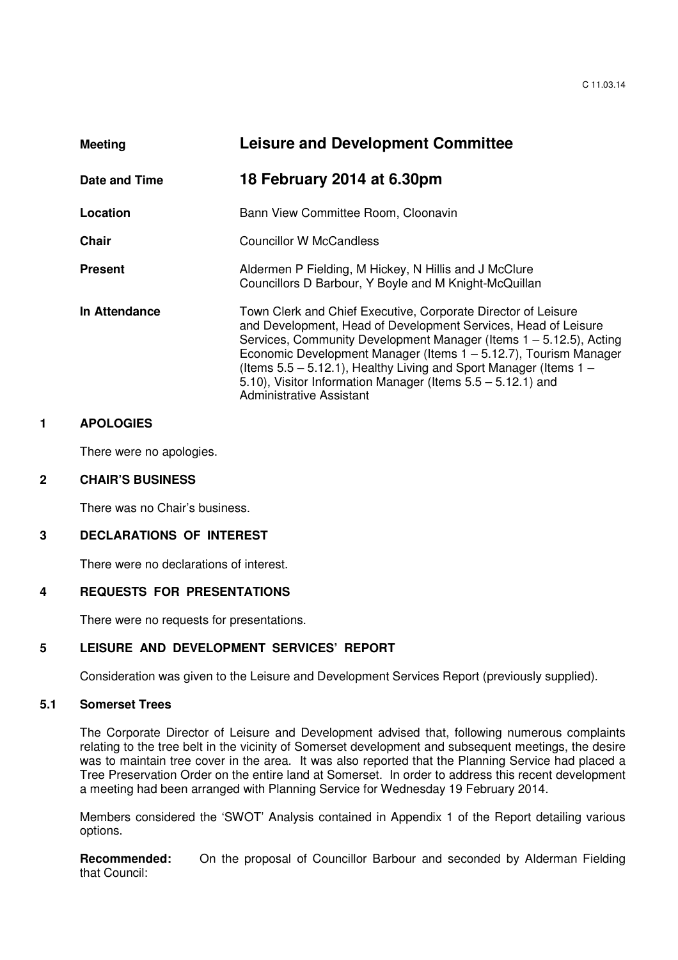| <b>Meeting</b> | <b>Leisure and Development Committee</b>                                                                                                                                                                                                                                                                                                                                                                                                                 |  |
|----------------|----------------------------------------------------------------------------------------------------------------------------------------------------------------------------------------------------------------------------------------------------------------------------------------------------------------------------------------------------------------------------------------------------------------------------------------------------------|--|
| Date and Time  | 18 February 2014 at 6.30pm                                                                                                                                                                                                                                                                                                                                                                                                                               |  |
| Location       | Bann View Committee Room, Cloonavin                                                                                                                                                                                                                                                                                                                                                                                                                      |  |
| Chair          | Councillor W McCandless                                                                                                                                                                                                                                                                                                                                                                                                                                  |  |
| <b>Present</b> | Aldermen P Fielding, M Hickey, N Hillis and J McClure<br>Councillors D Barbour, Y Boyle and M Knight-McQuillan                                                                                                                                                                                                                                                                                                                                           |  |
| In Attendance  | Town Clerk and Chief Executive, Corporate Director of Leisure<br>and Development, Head of Development Services, Head of Leisure<br>Services, Community Development Manager (Items 1 – 5.12.5), Acting<br>Economic Development Manager (Items 1 – 5.12.7), Tourism Manager<br>(Items $5.5 - 5.12.1$ ), Healthy Living and Sport Manager (Items $1 -$<br>5.10), Visitor Information Manager (Items $5.5 - 5.12.1$ ) and<br><b>Administrative Assistant</b> |  |

#### **1 APOLOGIES**

There were no apologies.

#### **2 CHAIR'S BUSINESS**

There was no Chair's business.

### **3 DECLARATIONS OF INTEREST**

There were no declarations of interest.

#### **4 REQUESTS FOR PRESENTATIONS**

There were no requests for presentations.

# **5 LEISURE AND DEVELOPMENT SERVICES' REPORT**

Consideration was given to the Leisure and Development Services Report (previously supplied).

# **5.1 Somerset Trees**

The Corporate Director of Leisure and Development advised that, following numerous complaints relating to the tree belt in the vicinity of Somerset development and subsequent meetings, the desire was to maintain tree cover in the area. It was also reported that the Planning Service had placed a Tree Preservation Order on the entire land at Somerset. In order to address this recent development a meeting had been arranged with Planning Service for Wednesday 19 February 2014.

Members considered the 'SWOT' Analysis contained in Appendix 1 of the Report detailing various options.

**Recommended:** On the proposal of Councillor Barbour and seconded by Alderman Fielding that Council: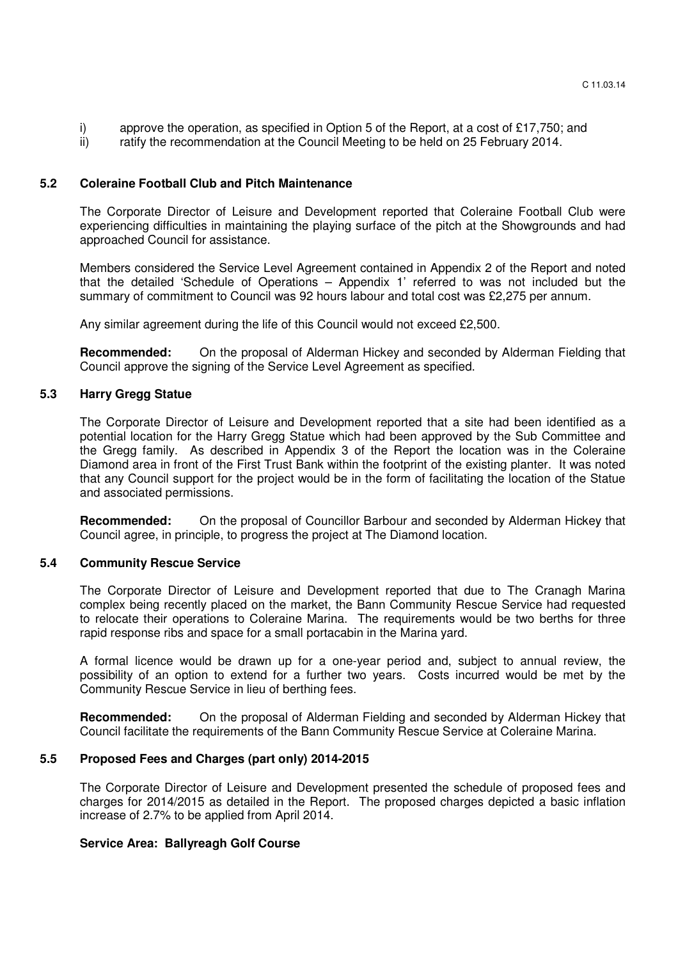- i) approve the operation, as specified in Option 5 of the Report, at a cost of £17,750; and
- ii) ratify the recommendation at the Council Meeting to be held on 25 February 2014.

#### **5.2 Coleraine Football Club and Pitch Maintenance**

 The Corporate Director of Leisure and Development reported that Coleraine Football Club were experiencing difficulties in maintaining the playing surface of the pitch at the Showgrounds and had approached Council for assistance.

 Members considered the Service Level Agreement contained in Appendix 2 of the Report and noted that the detailed 'Schedule of Operations – Appendix 1' referred to was not included but the summary of commitment to Council was 92 hours labour and total cost was £2,275 per annum.

Any similar agreement during the life of this Council would not exceed £2,500.

**Recommended:** On the proposal of Alderman Hickey and seconded by Alderman Fielding that Council approve the signing of the Service Level Agreement as specified.

#### **5.3 Harry Gregg Statue**

The Corporate Director of Leisure and Development reported that a site had been identified as a potential location for the Harry Gregg Statue which had been approved by the Sub Committee and the Gregg family. As described in Appendix 3 of the Report the location was in the Coleraine Diamond area in front of the First Trust Bank within the footprint of the existing planter. It was noted that any Council support for the project would be in the form of facilitating the location of the Statue and associated permissions.

**Recommended:** On the proposal of Councillor Barbour and seconded by Alderman Hickey that Council agree, in principle, to progress the project at The Diamond location.

#### **5.4 Community Rescue Service**

The Corporate Director of Leisure and Development reported that due to The Cranagh Marina complex being recently placed on the market, the Bann Community Rescue Service had requested to relocate their operations to Coleraine Marina. The requirements would be two berths for three rapid response ribs and space for a small portacabin in the Marina yard.

 A formal licence would be drawn up for a one-year period and, subject to annual review, the possibility of an option to extend for a further two years. Costs incurred would be met by the Community Rescue Service in lieu of berthing fees.

**Recommended:** On the proposal of Alderman Fielding and seconded by Alderman Hickey that Council facilitate the requirements of the Bann Community Rescue Service at Coleraine Marina.

#### **5.5 Proposed Fees and Charges (part only) 2014-2015**

The Corporate Director of Leisure and Development presented the schedule of proposed fees and charges for 2014/2015 as detailed in the Report. The proposed charges depicted a basic inflation increase of 2.7% to be applied from April 2014.

#### **Service Area: Ballyreagh Golf Course**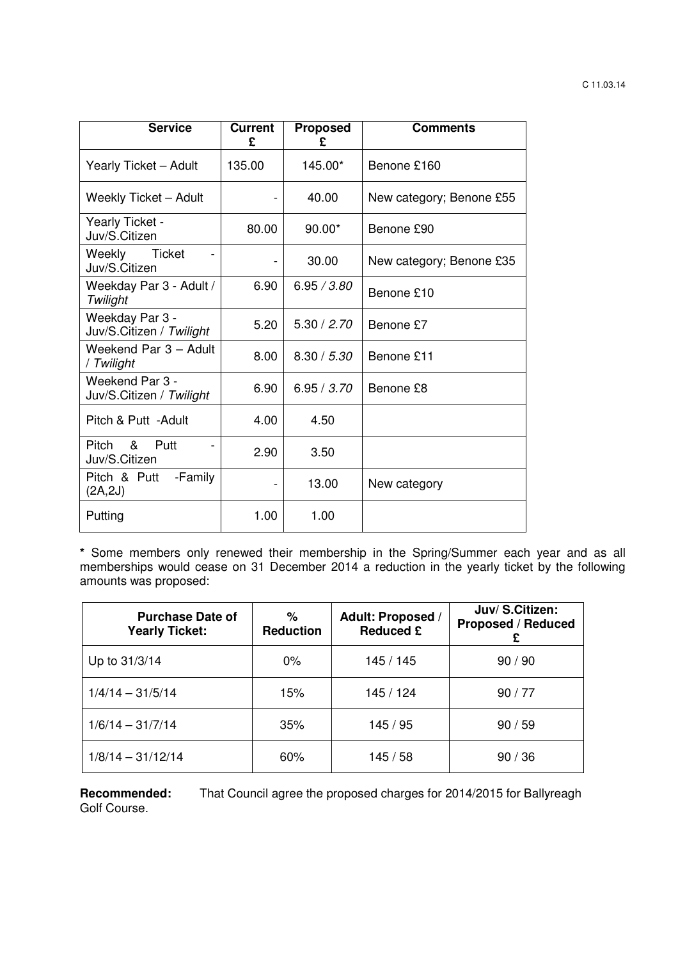| <b>Service</b>                              | Current<br>£ | <b>Proposed</b><br>ç | <b>Comments</b>          |
|---------------------------------------------|--------------|----------------------|--------------------------|
| Yearly Ticket - Adult                       | 135.00       | 145.00*              | Benone £160              |
| <b>Weekly Ticket - Adult</b>                |              | 40.00                | New category; Benone £55 |
| Yearly Ticket -<br>Juv/S.Citizen            | 80.00        | $90.00*$             | Benone £90               |
| Weekly<br>Ticket<br>Juv/S.Citizen           |              | 30.00                | New category; Benone £35 |
| Weekday Par 3 - Adult /<br>Twilight         | 6.90         | 6.95 / 3.80          | Benone £10               |
| Weekday Par 3 -<br>Juv/S.Citizen / Twilight | 5.20         | 5.30 / 2.70          | Benone £7                |
| Weekend Par 3 - Adult<br>/ Twilight         | 8.00         | 8.30 / 5.30          | Benone £11               |
| Weekend Par 3 -<br>Juv/S.Citizen / Twilight | 6.90         | 6.95 / 3.70          | Benone £8                |
| Pitch & Putt - Adult                        | 4.00         | 4.50                 |                          |
| Pitch<br>&<br>Putt<br>Juv/S.Citizen         | 2.90         | 3.50                 |                          |
| -Family<br>Pitch & Putt<br>(2A, 2J)         |              | 13.00                | New category             |
| Putting                                     | 1.00         | 1.00                 |                          |

 **\*** Some members only renewed their membership in the Spring/Summer each year and as all memberships would cease on 31 December 2014 a reduction in the yearly ticket by the following amounts was proposed:

| <b>Purchase Date of</b><br><b>Yearly Ticket:</b> | %<br><b>Reduction</b> | <b>Adult: Proposed /</b><br><b>Reduced £</b> | Juv/S.Citizen:<br><b>Proposed / Reduced</b><br>£ |
|--------------------------------------------------|-----------------------|----------------------------------------------|--------------------------------------------------|
| Up to 31/3/14                                    | $0\%$                 | 145 / 145                                    | 90/90                                            |
| $1/4/14 - 31/5/14$                               | 15%                   | 145 / 124                                    | 90/77                                            |
| $1/6/14 - 31/7/14$                               | 35%                   | 145 / 95                                     | 90/59                                            |
| $1/8/14 - 31/12/14$                              | 60%                   | 145/58                                       | 90/36                                            |

**Recommended:** That Council agree the proposed charges for 2014/2015 for Ballyreagh Golf Course.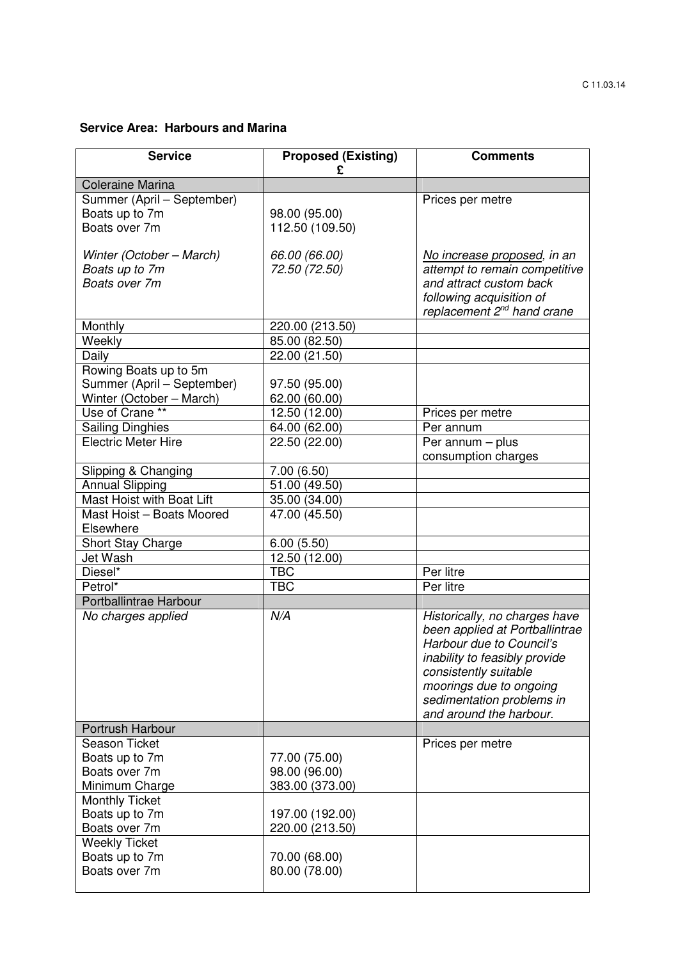# **Service Area: Harbours and Marina**

| <b>Service</b>                              | <b>Proposed (Existing)</b><br>£ | <b>Comments</b>                                      |
|---------------------------------------------|---------------------------------|------------------------------------------------------|
| <b>Coleraine Marina</b>                     |                                 |                                                      |
| Summer (April - September)                  |                                 | Prices per metre                                     |
| Boats up to 7m                              | 98.00 (95.00)                   |                                                      |
| Boats over 7m                               | 112.50 (109.50)                 |                                                      |
|                                             |                                 |                                                      |
| Winter (October - March)                    | 66.00 (66.00)                   | No increase proposed, in an                          |
| Boats up to 7m                              | 72.50 (72.50)                   | attempt to remain competitive                        |
| Boats over 7m                               |                                 | and attract custom back                              |
|                                             |                                 | following acquisition of                             |
|                                             |                                 | replacement 2 <sup>nd</sup> hand crane               |
| Monthly                                     | 220.00 (213.50)                 |                                                      |
| Weekly                                      | 85.00(82.50)                    |                                                      |
| Daily                                       | 22.00(21.50)                    |                                                      |
| Rowing Boats up to 5m                       |                                 |                                                      |
| Summer (April - September)                  | 97.50 (95.00)                   |                                                      |
| Winter (October - March)<br>Use of Crane ** | 62.00 (60.00)<br>12.50 (12.00)  |                                                      |
| <b>Sailing Dinghies</b>                     | 64.00 (62.00)                   | Prices per metre<br>Per annum                        |
| <b>Electric Meter Hire</b>                  | 22.50 (22.00)                   | Per annum - plus                                     |
|                                             |                                 | consumption charges                                  |
| Slipping & Changing                         | 7.00(6.50)                      |                                                      |
| <b>Annual Slipping</b>                      | $\overline{51.00}$ (49.50)      |                                                      |
| Mast Hoist with Boat Lift                   | 35.00 (34.00)                   |                                                      |
| Mast Hoist - Boats Moored                   | 47.00 (45.50)                   |                                                      |
| Elsewhere                                   |                                 |                                                      |
| Short Stay Charge                           | 6.00(5.50)                      |                                                      |
| Jet Wash                                    | 12.50 (12.00)                   |                                                      |
| Diesel*                                     | <b>TBC</b>                      | Per litre                                            |
| Petrol*                                     | <b>TBC</b>                      | Per litre                                            |
| Portballintrae Harbour                      |                                 |                                                      |
| No charges applied                          | N/A                             | Historically, no charges have                        |
|                                             |                                 | been applied at Portballintrae                       |
|                                             |                                 | Harbour due to Council's                             |
|                                             |                                 | inability to feasibly provide                        |
|                                             |                                 | consistently suitable                                |
|                                             |                                 | moorings due to ongoing                              |
|                                             |                                 | sedimentation problems in<br>and around the harbour. |
| Portrush Harbour                            |                                 |                                                      |
| Season Ticket                               |                                 | Prices per metre                                     |
| Boats up to 7m                              | 77.00 (75.00)                   |                                                      |
| Boats over 7m                               | 98.00 (96.00)                   |                                                      |
| Minimum Charge                              | 383.00 (373.00)                 |                                                      |
| <b>Monthly Ticket</b>                       |                                 |                                                      |
| Boats up to 7m                              | 197.00 (192.00)                 |                                                      |
| Boats over 7m                               | 220.00 (213.50)                 |                                                      |
| <b>Weekly Ticket</b>                        |                                 |                                                      |
| Boats up to 7m                              | 70.00 (68.00)                   |                                                      |
| Boats over 7m                               | 80.00 (78.00)                   |                                                      |
|                                             |                                 |                                                      |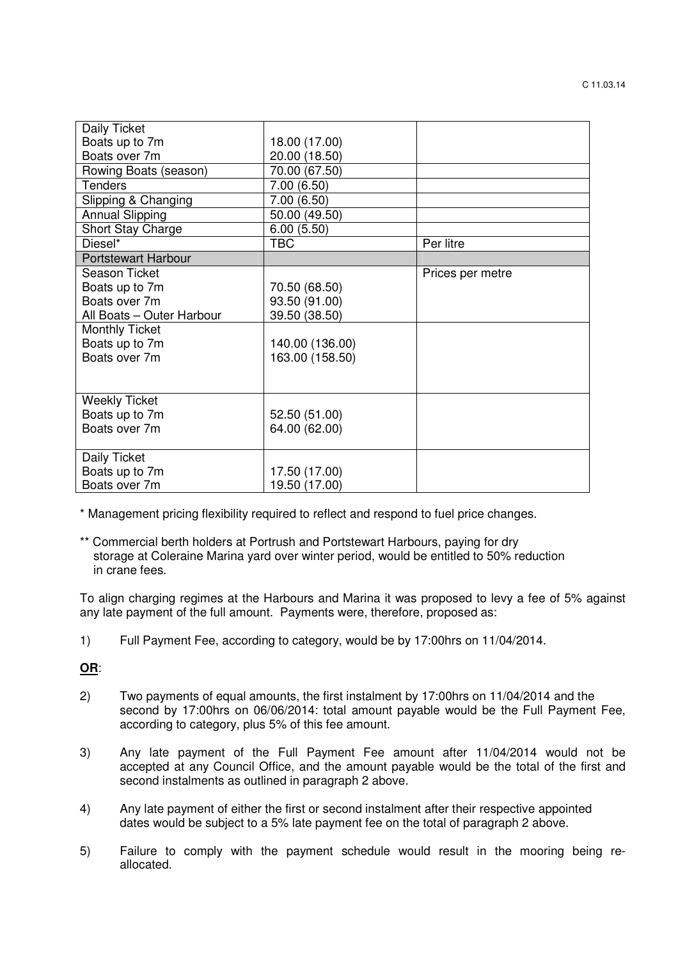| Daily Ticket               |                 |                  |
|----------------------------|-----------------|------------------|
| Boats up to 7m             | 18.00 (17.00)   |                  |
| Boats over 7m              | 20.00 (18.50)   |                  |
| Rowing Boats (season)      | 70.00 (67.50)   |                  |
| <b>Tenders</b>             | 7.00(6.50)      |                  |
| Slipping & Changing        | 7.00(6.50)      |                  |
| <b>Annual Slipping</b>     | 50.00 (49.50)   |                  |
| Short Stay Charge          | 6.00(5.50)      |                  |
| Diesel*                    | <b>TBC</b>      | Per litre        |
| <b>Portstewart Harbour</b> |                 |                  |
| Season Ticket              |                 | Prices per metre |
| Boats up to 7m             | 70.50 (68.50)   |                  |
| Boats over 7m              | 93.50 (91.00)   |                  |
| All Boats - Outer Harbour  | 39.50 (38.50)   |                  |
| <b>Monthly Ticket</b>      |                 |                  |
| Boats up to 7m             | 140.00 (136.00) |                  |
| Boats over 7m              | 163.00 (158.50) |                  |
|                            |                 |                  |
|                            |                 |                  |
| <b>Weekly Ticket</b>       |                 |                  |
| Boats up to 7m             | 52.50 (51.00)   |                  |
| Boats over 7m              | 64.00 (62.00)   |                  |
|                            |                 |                  |
| Daily Ticket               |                 |                  |
| Boats up to 7m             | 17.50 (17.00)   |                  |
| Boats over 7m              | 19.50 (17.00)   |                  |

\* Management pricing flexibility required to reflect and respond to fuel price changes.

\*\* Commercial berth holders at Portrush and Portstewart Harbours, paying for dry storage at Coleraine Marina yard over winter period, would be entitled to 50% reduction in crane fees.

 To align charging regimes at the Harbours and Marina it was proposed to levy a fee of 5% against any late payment of the full amount. Payments were, therefore, proposed as:

1) Full Payment Fee, according to category, would be by 17:00hrs on 11/04/2014.

# **OR**:

- 2) Two payments of equal amounts, the first instalment by 17:00hrs on 11/04/2014 and the second by 17:00hrs on 06/06/2014: total amount payable would be the Full Payment Fee, according to category, plus 5% of this fee amount.
- 3) Any late payment of the Full Payment Fee amount after 11/04/2014 would not be accepted at any Council Office, and the amount payable would be the total of the first and second instalments as outlined in paragraph 2 above.
- 4) Any late payment of either the first or second instalment after their respective appointed dates would be subject to a 5% late payment fee on the total of paragraph 2 above.
- 5) Failure to comply with the payment schedule would result in the mooring being re allocated.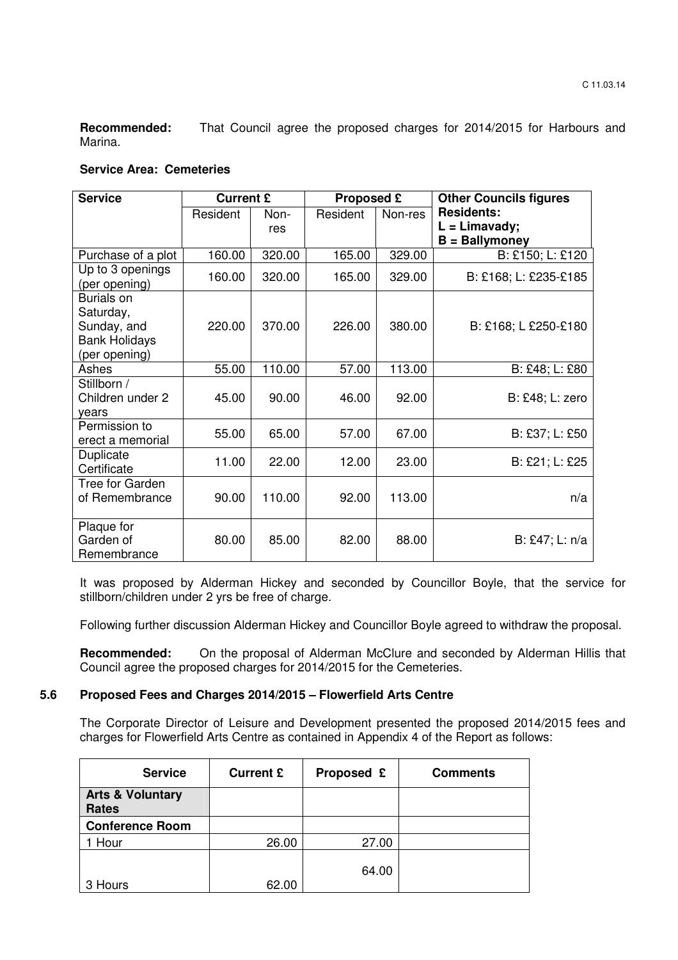**Recommended:** That Council agree the proposed charges for 2014/2015 for Harbours and Marina.

#### **Service Area: Cemeteries**

| <b>Service</b>                                                                         | <b>Current £</b> |             | Proposed £ |         | <b>Other Councils figures</b>                            |  |
|----------------------------------------------------------------------------------------|------------------|-------------|------------|---------|----------------------------------------------------------|--|
|                                                                                        | Resident         | Non-<br>res | Resident   | Non-res | <b>Residents:</b><br>$L = Limavady;$<br>$B =$ Ballymoney |  |
| Purchase of a plot                                                                     | 160.00           | 320.00      | 165.00     | 329.00  | B: £150; L: £120                                         |  |
| Up to 3 openings<br>(per opening)                                                      | 160.00           | 320.00      | 165.00     | 329.00  | B: £168; L: £235-£185                                    |  |
| <b>Burials on</b><br>Saturday,<br>Sunday, and<br><b>Bank Holidays</b><br>(per opening) | 220.00           | 370.00      | 226.00     | 380.00  | B: £168; L £250-£180                                     |  |
| Ashes                                                                                  | 55.00            | 110.00      | 57.00      | 113.00  | B: £48; L: £80                                           |  |
| Stillborn /<br>Children under 2<br>vears                                               | 45.00            | 90.00       | 46.00      | 92.00   | B: £48; L: zero                                          |  |
| Permission to<br>erect a memorial                                                      | 55.00            | 65.00       | 57.00      | 67.00   | B: £37; L: £50                                           |  |
| Duplicate<br>Certificate                                                               | 11.00            | 22.00       | 12.00      | 23.00   | B: £21; L: £25                                           |  |
| Tree for Garden<br>of Remembrance                                                      | 90.00            | 110.00      | 92.00      | 113.00  | n/a                                                      |  |
| Plaque for<br>Garden of<br>Remembrance                                                 | 80.00            | 85.00       | 82.00      | 88.00   | B: £47; L: n/a                                           |  |

It was proposed by Alderman Hickey and seconded by Councillor Boyle, that the service for stillborn/children under 2 yrs be free of charge.

Following further discussion Alderman Hickey and Councillor Boyle agreed to withdraw the proposal.

**Recommended:** On the proposal of Alderman McClure and seconded by Alderman Hillis that Council agree the proposed charges for 2014/2015 for the Cemeteries.

#### **5.6 Proposed Fees and Charges 2014/2015 – Flowerfield Arts Centre**

 The Corporate Director of Leisure and Development presented the proposed 2014/2015 fees and charges for Flowerfield Arts Centre as contained in Appendix 4 of the Report as follows:

| <b>Service</b>                              | <b>Current £</b> | Proposed £ | <b>Comments</b> |
|---------------------------------------------|------------------|------------|-----------------|
| <b>Arts &amp; Voluntary</b><br><b>Rates</b> |                  |            |                 |
| <b>Conference Room</b>                      |                  |            |                 |
| Hour                                        | 26.00            | 27.00      |                 |
| 3 Hours                                     | 62.00            | 64.00      |                 |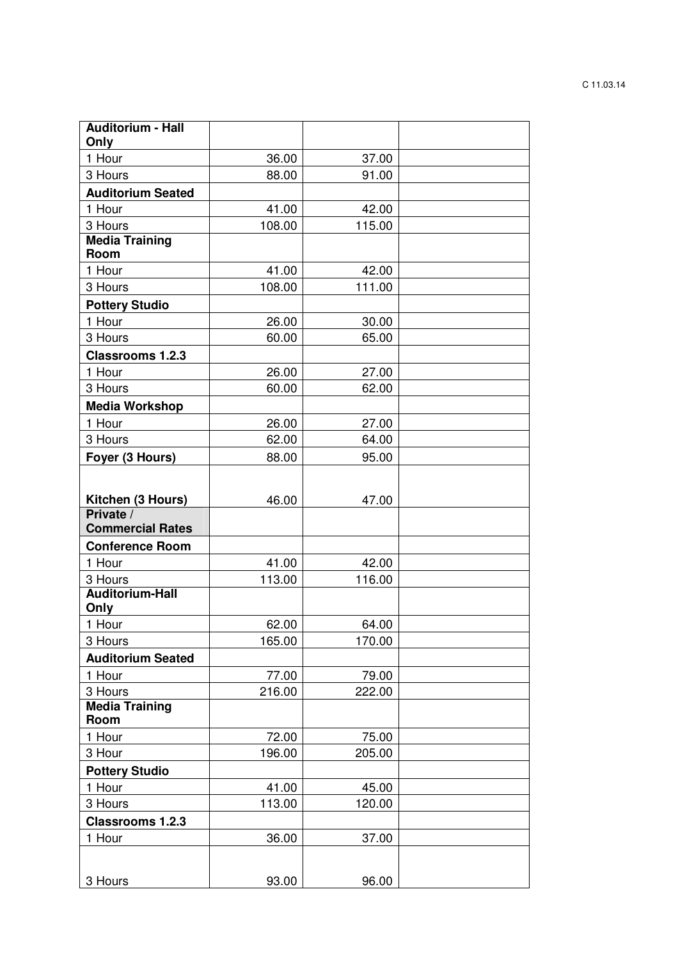| <b>Auditorium - Hall</b><br>Only |        |        |  |
|----------------------------------|--------|--------|--|
| 1 Hour                           | 36.00  | 37.00  |  |
| 3 Hours                          | 88.00  | 91.00  |  |
| <b>Auditorium Seated</b>         |        |        |  |
| 1 Hour                           | 41.00  | 42.00  |  |
| 3 Hours                          | 108.00 | 115.00 |  |
| <b>Media Training</b>            |        |        |  |
| Room                             |        |        |  |
| 1 Hour                           | 41.00  | 42.00  |  |
| 3 Hours                          | 108.00 | 111.00 |  |
| <b>Pottery Studio</b>            |        |        |  |
| 1 Hour                           | 26.00  | 30.00  |  |
| 3 Hours                          | 60.00  | 65.00  |  |
| <b>Classrooms 1.2.3</b>          |        |        |  |
| 1 Hour                           | 26.00  | 27.00  |  |
| 3 Hours                          | 60.00  | 62.00  |  |
| <b>Media Workshop</b>            |        |        |  |
| 1 Hour                           | 26.00  | 27.00  |  |
| 3 Hours                          | 62.00  | 64.00  |  |
| Foyer (3 Hours)                  | 88.00  | 95.00  |  |
|                                  |        |        |  |
| Kitchen (3 Hours)                | 46.00  | 47.00  |  |
| Private /                        |        |        |  |
| <b>Commercial Rates</b>          |        |        |  |
| <b>Conference Room</b>           |        |        |  |
| 1 Hour                           | 41.00  | 42.00  |  |
| 3 Hours                          | 113.00 | 116.00 |  |
| <b>Auditorium-Hall</b>           |        |        |  |
| Only<br>1 Hour                   | 62.00  | 64.00  |  |
| 3 Hours                          | 165.00 | 170.00 |  |
| <b>Auditorium Seated</b>         |        |        |  |
| 1 Hour                           | 77.00  | 79.00  |  |
| 3 Hours                          | 216.00 | 222.00 |  |
| <b>Media Training</b>            |        |        |  |
| Room                             |        |        |  |
| 1 Hour                           | 72.00  | 75.00  |  |
| 3 Hour                           | 196.00 | 205.00 |  |
| <b>Pottery Studio</b>            |        |        |  |
| 1 Hour                           | 41.00  | 45.00  |  |
| 3 Hours                          | 113.00 | 120.00 |  |
| <b>Classrooms 1.2.3</b>          |        |        |  |
| 1 Hour                           | 36.00  | 37.00  |  |
|                                  |        |        |  |
| 3 Hours                          | 93.00  | 96.00  |  |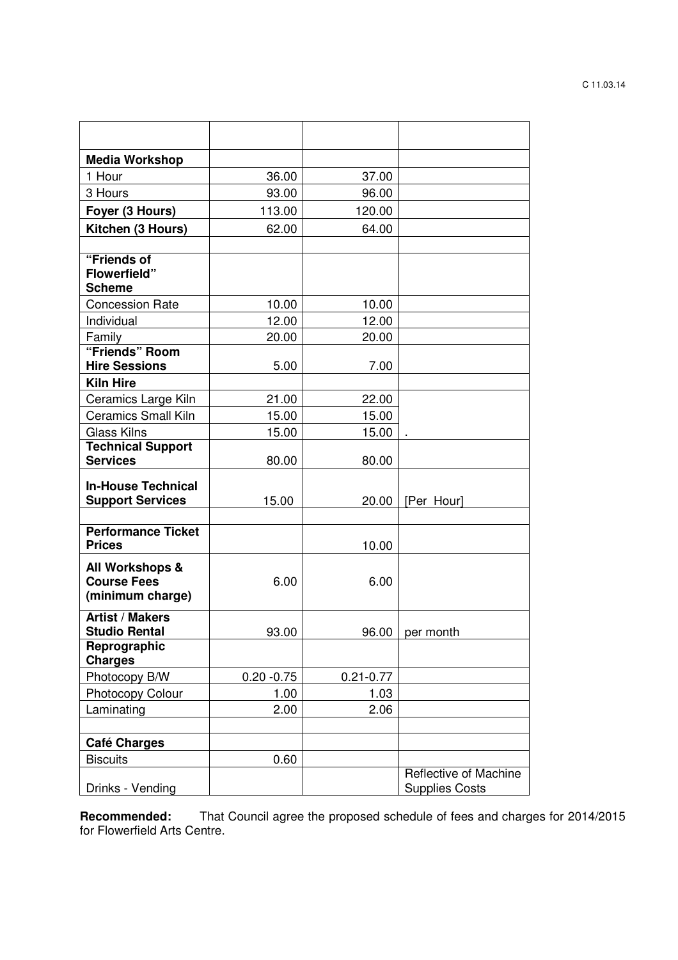| <b>Media Workshop</b>                                     |               |               |                                                |
|-----------------------------------------------------------|---------------|---------------|------------------------------------------------|
| 1 Hour                                                    | 36.00         | 37.00         |                                                |
| 3 Hours                                                   | 93.00         | 96.00         |                                                |
| Foyer (3 Hours)                                           | 113.00        | 120.00        |                                                |
| Kitchen (3 Hours)                                         | 62.00         | 64.00         |                                                |
|                                                           |               |               |                                                |
| "Friends of<br><b>Flowerfield"</b>                        |               |               |                                                |
| <b>Scheme</b>                                             |               |               |                                                |
| <b>Concession Rate</b>                                    | 10.00         | 10.00         |                                                |
| Individual                                                | 12.00         | 12.00         |                                                |
| Family<br>"Friends" Room                                  | 20.00         | 20.00         |                                                |
| <b>Hire Sessions</b>                                      | 5.00          | 7.00          |                                                |
| <b>Kiln Hire</b>                                          |               |               |                                                |
| Ceramics Large Kiln                                       | 21.00         | 22.00         |                                                |
| <b>Ceramics Small Kiln</b>                                | 15.00         | 15.00         |                                                |
| <b>Glass Kilns</b>                                        | 15.00         | 15.00         |                                                |
| <b>Technical Support</b>                                  |               |               |                                                |
| <b>Services</b>                                           | 80.00         | 80.00         |                                                |
| <b>In-House Technical</b><br><b>Support Services</b>      | 15.00         | 20.00         | [Per Hour]                                     |
|                                                           |               |               |                                                |
| <b>Performance Ticket</b><br><b>Prices</b>                |               | 10.00         |                                                |
| All Workshops &<br><b>Course Fees</b><br>(minimum charge) | 6.00          | 6.00          |                                                |
| <b>Artist / Makers</b><br><b>Studio Rental</b>            | 93.00         |               | $96.00$   per month                            |
| Reprographic<br><b>Charges</b>                            |               |               |                                                |
| Photocopy B/W                                             | $0.20 - 0.75$ | $0.21 - 0.77$ |                                                |
| <b>Photocopy Colour</b>                                   | 1.00          | 1.03          |                                                |
| Laminating                                                | 2.00          | 2.06          |                                                |
|                                                           |               |               |                                                |
| <b>Café Charges</b>                                       |               |               |                                                |
| <b>Biscuits</b>                                           | 0.60          |               |                                                |
| Drinks - Vending                                          |               |               | Reflective of Machine<br><b>Supplies Costs</b> |

**Recommended:** That Council agree the proposed schedule of fees and charges for 2014/2015 for Flowerfield Arts Centre.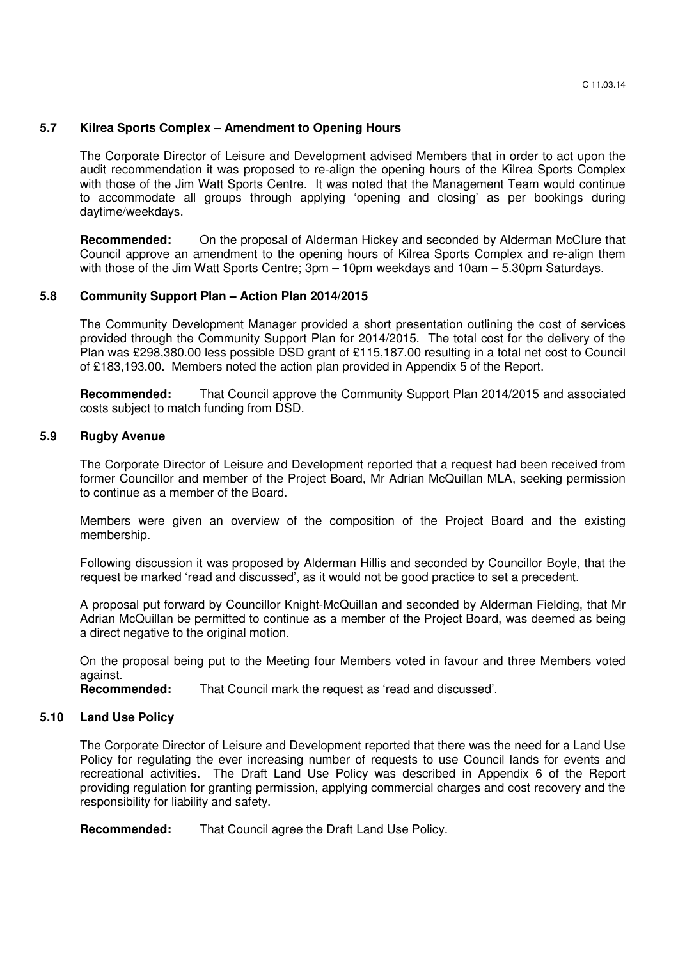#### **5.7 Kilrea Sports Complex – Amendment to Opening Hours**

The Corporate Director of Leisure and Development advised Members that in order to act upon the audit recommendation it was proposed to re-align the opening hours of the Kilrea Sports Complex with those of the Jim Watt Sports Centre. It was noted that the Management Team would continue to accommodate all groups through applying 'opening and closing' as per bookings during daytime/weekdays.

**Recommended:** On the proposal of Alderman Hickey and seconded by Alderman McClure that Council approve an amendment to the opening hours of Kilrea Sports Complex and re-align them with those of the Jim Watt Sports Centre; 3pm – 10pm weekdays and 10am – 5.30pm Saturdays.

### **5.8 Community Support Plan – Action Plan 2014/2015**

The Community Development Manager provided a short presentation outlining the cost of services provided through the Community Support Plan for 2014/2015. The total cost for the delivery of the Plan was £298,380.00 less possible DSD grant of £115,187.00 resulting in a total net cost to Council of £183,193.00. Members noted the action plan provided in Appendix 5 of the Report.

**Recommended:** That Council approve the Community Support Plan 2014/2015 and associated costs subject to match funding from DSD.

#### **5.9 Rugby Avenue**

The Corporate Director of Leisure and Development reported that a request had been received from former Councillor and member of the Project Board, Mr Adrian McQuillan MLA, seeking permission to continue as a member of the Board.

 Members were given an overview of the composition of the Project Board and the existing membership.

 Following discussion it was proposed by Alderman Hillis and seconded by Councillor Boyle, that the request be marked 'read and discussed', as it would not be good practice to set a precedent.

 A proposal put forward by Councillor Knight-McQuillan and seconded by Alderman Fielding, that Mr Adrian McQuillan be permitted to continue as a member of the Project Board, was deemed as being a direct negative to the original motion.

 On the proposal being put to the Meeting four Members voted in favour and three Members voted against.<br>**Recommended:** 

That Council mark the request as 'read and discussed'.

#### **5.10 Land Use Policy**

 The Corporate Director of Leisure and Development reported that there was the need for a Land Use Policy for regulating the ever increasing number of requests to use Council lands for events and recreational activities. The Draft Land Use Policy was described in Appendix 6 of the Report providing regulation for granting permission, applying commercial charges and cost recovery and the responsibility for liability and safety.

**Recommended:** That Council agree the Draft Land Use Policy.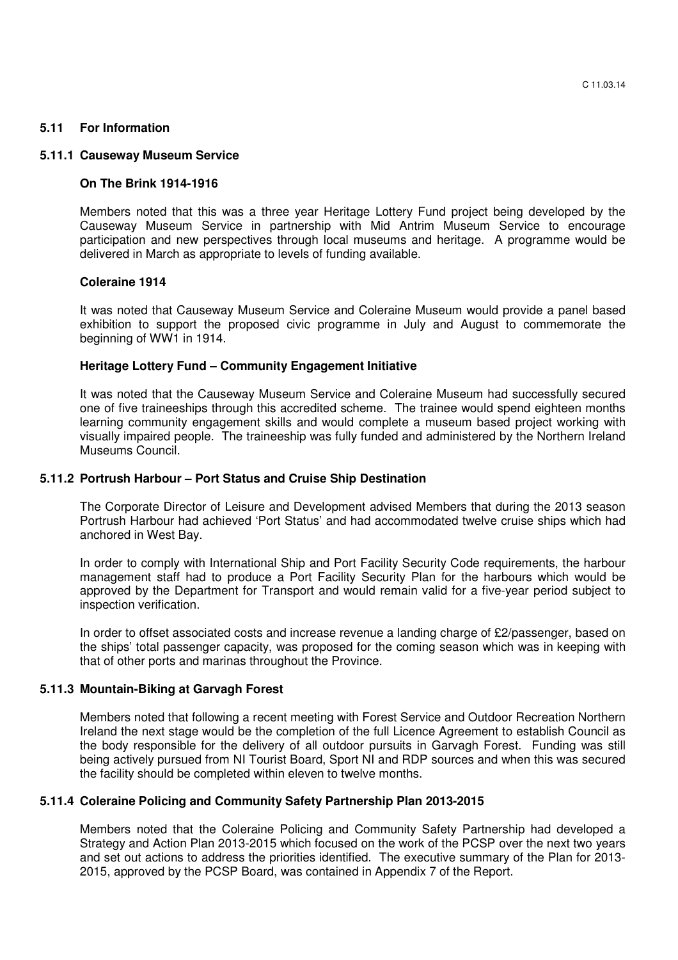#### **5.11 For Information**

#### **5.11.1 Causeway Museum Service**

#### **On The Brink 1914-1916**

Members noted that this was a three year Heritage Lottery Fund project being developed by the Causeway Museum Service in partnership with Mid Antrim Museum Service to encourage participation and new perspectives through local museums and heritage. A programme would be delivered in March as appropriate to levels of funding available.

#### **Coleraine 1914**

It was noted that Causeway Museum Service and Coleraine Museum would provide a panel based exhibition to support the proposed civic programme in July and August to commemorate the beginning of WW1 in 1914.

#### **Heritage Lottery Fund – Community Engagement Initiative**

It was noted that the Causeway Museum Service and Coleraine Museum had successfully secured one of five traineeships through this accredited scheme. The trainee would spend eighteen months learning community engagement skills and would complete a museum based project working with visually impaired people. The traineeship was fully funded and administered by the Northern Ireland Museums Council.

#### **5.11.2 Portrush Harbour – Port Status and Cruise Ship Destination**

The Corporate Director of Leisure and Development advised Members that during the 2013 season Portrush Harbour had achieved 'Port Status' and had accommodated twelve cruise ships which had anchored in West Bay.

In order to comply with International Ship and Port Facility Security Code requirements, the harbour management staff had to produce a Port Facility Security Plan for the harbours which would be approved by the Department for Transport and would remain valid for a five-year period subject to inspection verification.

 In order to offset associated costs and increase revenue a landing charge of £2/passenger, based on the ships' total passenger capacity, was proposed for the coming season which was in keeping with that of other ports and marinas throughout the Province.

#### **5.11.3 Mountain-Biking at Garvagh Forest**

Members noted that following a recent meeting with Forest Service and Outdoor Recreation Northern Ireland the next stage would be the completion of the full Licence Agreement to establish Council as the body responsible for the delivery of all outdoor pursuits in Garvagh Forest. Funding was still being actively pursued from NI Tourist Board, Sport NI and RDP sources and when this was secured the facility should be completed within eleven to twelve months.

### **5.11.4 Coleraine Policing and Community Safety Partnership Plan 2013-2015**

Members noted that the Coleraine Policing and Community Safety Partnership had developed a Strategy and Action Plan 2013-2015 which focused on the work of the PCSP over the next two years and set out actions to address the priorities identified. The executive summary of the Plan for 2013- 2015, approved by the PCSP Board, was contained in Appendix 7 of the Report.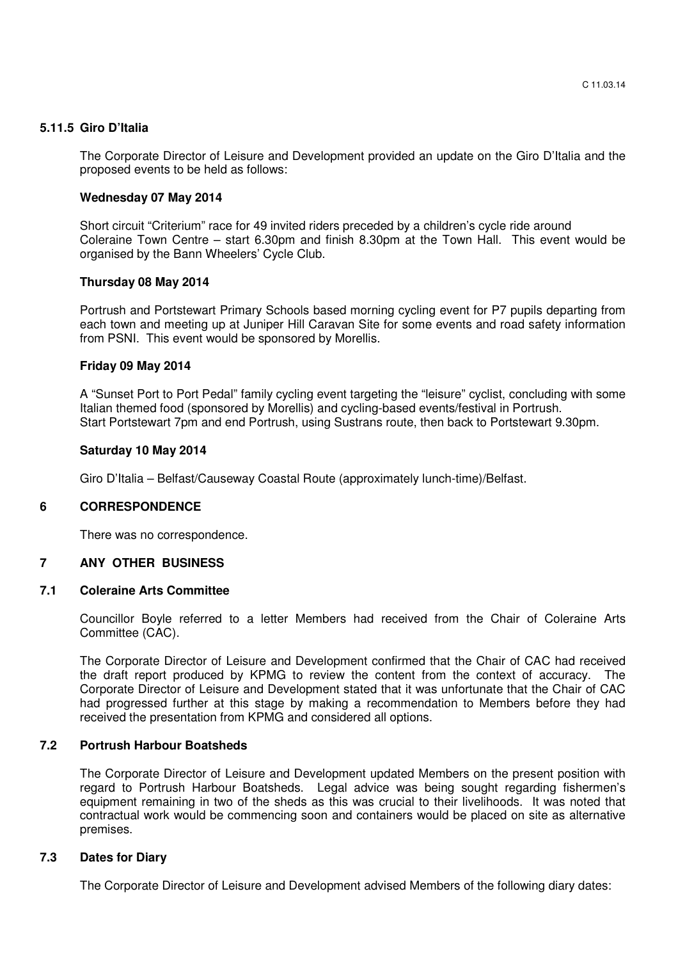#### **5.11.5 Giro D'Italia**

 The Corporate Director of Leisure and Development provided an update on the Giro D'Italia and the proposed events to be held as follows:

#### **Wednesday 07 May 2014**

 Short circuit "Criterium" race for 49 invited riders preceded by a children's cycle ride around Coleraine Town Centre – start 6.30pm and finish 8.30pm at the Town Hall. This event would be organised by the Bann Wheelers' Cycle Club.

#### **Thursday 08 May 2014**

Portrush and Portstewart Primary Schools based morning cycling event for P7 pupils departing from each town and meeting up at Juniper Hill Caravan Site for some events and road safety information from PSNI. This event would be sponsored by Morellis.

#### **Friday 09 May 2014**

A "Sunset Port to Port Pedal" family cycling event targeting the "leisure" cyclist, concluding with some Italian themed food (sponsored by Morellis) and cycling-based events/festival in Portrush. Start Portstewart 7pm and end Portrush, using Sustrans route, then back to Portstewart 9.30pm.

#### **Saturday 10 May 2014**

Giro D'Italia – Belfast/Causeway Coastal Route (approximately lunch-time)/Belfast.

# **6 CORRESPONDENCE**

There was no correspondence.

# **7 ANY OTHER BUSINESS**

#### **7.1 Coleraine Arts Committee**

Councillor Boyle referred to a letter Members had received from the Chair of Coleraine Arts Committee (CAC).

The Corporate Director of Leisure and Development confirmed that the Chair of CAC had received the draft report produced by KPMG to review the content from the context of accuracy. The Corporate Director of Leisure and Development stated that it was unfortunate that the Chair of CAC had progressed further at this stage by making a recommendation to Members before they had received the presentation from KPMG and considered all options.

#### **7.2 Portrush Harbour Boatsheds**

The Corporate Director of Leisure and Development updated Members on the present position with regard to Portrush Harbour Boatsheds. Legal advice was being sought regarding fishermen's equipment remaining in two of the sheds as this was crucial to their livelihoods. It was noted that contractual work would be commencing soon and containers would be placed on site as alternative premises.

#### **7.3 Dates for Diary**

The Corporate Director of Leisure and Development advised Members of the following diary dates: